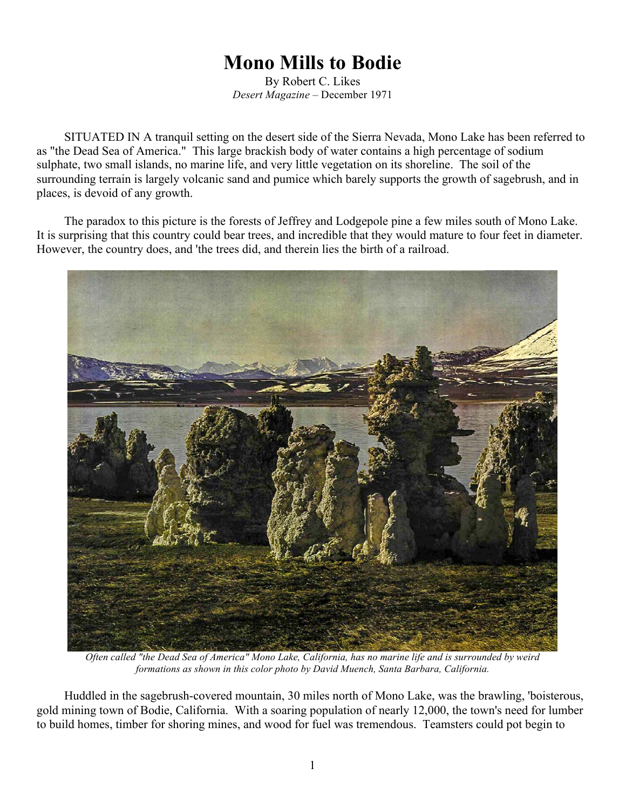## **Mono Mills to Bodie**

By Robert C. Likes *Desert Magazine* – December 1971

SITUATED IN A tranquil setting on the desert side of the Sierra Nevada, Mono Lake has been referred to as "the Dead Sea of America." This large brackish body of water contains a high percentage of sodium sulphate, two small islands, no marine life, and very little vegetation on its shoreline. The soil of the surrounding terrain is largely volcanic sand and pumice which barely supports the growth of sagebrush, and in places, is devoid of any growth.

The paradox to this picture is the forests of Jeffrey and Lodgepole pine a few miles south of Mono Lake. It is surprising that this country could bear trees, and incredible that they would mature to four feet in diameter. However, the country does, and 'the trees did, and therein lies the birth of a railroad.



*Often called "the Dead Sea of America" Mono Lake, California, has no marine life and is surrounded by weird formations as shown in this color photo by David Muench, Santa Barbara, California.*

Huddled in the sagebrush-covered mountain, 30 miles north of Mono Lake, was the brawling, 'boisterous, gold mining town of Bodie, California. With a soaring population of nearly 12,000, the town's need for lumber to build homes, timber for shoring mines, and wood for fuel was tremendous. Teamsters could pot begin to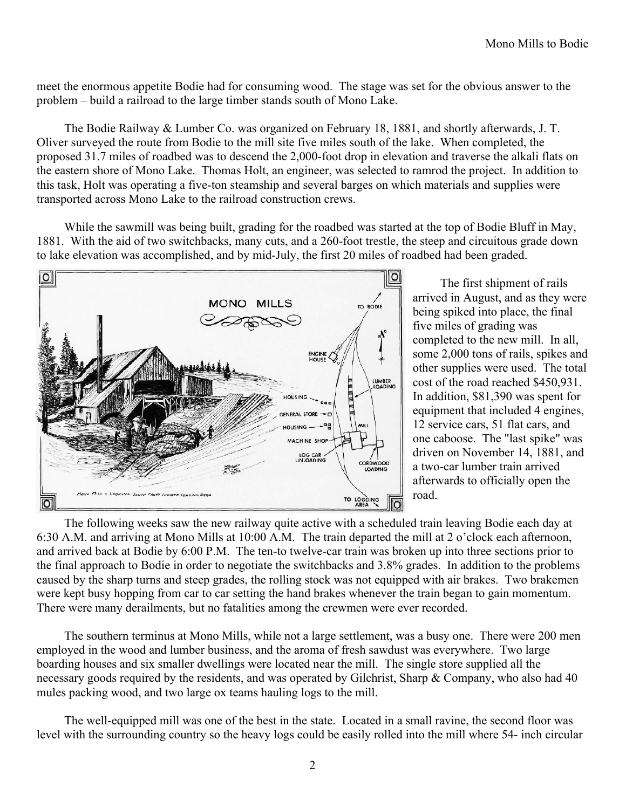meet the enormous appetite Bodie had for consuming wood. The stage was set for the obvious answer to the problem – build a railroad to the large timber stands south of Mono Lake.

The Bodie Railway & Lumber Co. was organized on February 18, 1881, and shortly afterwards, J. T. Oliver surveyed the route from Bodie to the mill site five miles south of the lake. When completed, the proposed 31.7 miles of roadbed was to descend the 2,000-foot drop in elevation and traverse the alkali flats on the eastern shore of Mono Lake. Thomas Holt, an engineer, was selected to ramrod the project. In addition to this task, Holt was operating a five-ton steamship and several barges on which materials and supplies were transported across Mono Lake to the railroad construction crews.

While the sawmill was being built, grading for the roadbed was started at the top of Bodie Bluff in May, 1881. With the aid of two switchbacks, many cuts, and a 260-foot trestle, the steep and circuitous grade down to lake elevation was accomplished, and by mid-July, the first 20 miles of roadbed had been graded.



The first shipment of rails arrived in August, and as they were being spiked into place, the final five miles of grading was completed to the new mill. In all, some 2,000 tons of rails, spikes and other supplies were used. The total cost of the road reached \$450,931. In addition, \$81,390 was spent for equipment that included 4 engines, 12 service cars, 51 flat cars, and one caboose. The "last spike" was driven on November 14, 1881, and a two-car lumber train arrived afterwards to officially open the road.

The following weeks saw the new railway quite active with a scheduled train leaving Bodie each day at 6:30 A.M. and arriving at Mono Mills at 10:00 A.M. The train departed the mill at 2 o'clock each afternoon, and arrived back at Bodie by 6:00 P.M. The ten-to twelve-car train was broken up into three sections prior to the final approach to Bodie in order to negotiate the switchbacks and 3.8% grades. In addition to the problems caused by the sharp turns and steep grades, the rolling stock was not equipped with air brakes. Two brakemen were kept busy hopping from car to car setting the hand brakes whenever the train began to gain momentum. There were many derailments, but no fatalities among the crewmen were ever recorded.

The southern terminus at Mono Mills, while not a large settlement, was a busy one. There were 200 men employed in the wood and lumber business, and the aroma of fresh sawdust was everywhere. Two large boarding houses and six smaller dwellings were located near the mill. The single store supplied all the necessary goods required by the residents, and was operated by Gilchrist, Sharp & Company, who also had 40 mules packing wood, and two large ox teams hauling logs to the mill.

The well-equipped mill was one of the best in the state. Located in a small ravine, the second floor was level with the surrounding country so the heavy logs could be easily rolled into the mill where 54- inch circular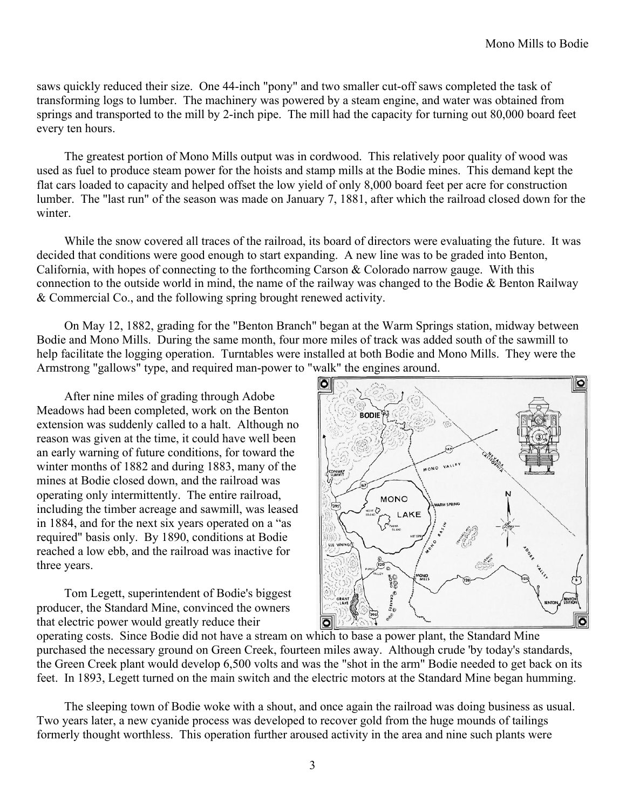saws quickly reduced their size. One 44-inch "pony" and two smaller cut-off saws completed the task of transforming logs to lumber. The machinery was powered by a steam engine, and water was obtained from springs and transported to the mill by 2-inch pipe. The mill had the capacity for turning out 80,000 board feet every ten hours.

The greatest portion of Mono Mills output was in cordwood. This relatively poor quality of wood was used as fuel to produce steam power for the hoists and stamp mills at the Bodie mines. This demand kept the flat cars loaded to capacity and helped offset the low yield of only 8,000 board feet per acre for construction lumber. The "last run" of the season was made on January 7, 1881, after which the railroad closed down for the winter.

While the snow covered all traces of the railroad, its board of directors were evaluating the future. It was decided that conditions were good enough to start expanding. A new line was to be graded into Benton, California, with hopes of connecting to the forthcoming Carson  $&$  Colorado narrow gauge. With this connection to the outside world in mind, the name of the railway was changed to the Bodie & Benton Railway & Commercial Co., and the following spring brought renewed activity.

On May 12, 1882, grading for the "Benton Branch" began at the Warm Springs station, midway between Bodie and Mono Mills. During the same month, four more miles of track was added south of the sawmill to help facilitate the logging operation. Turntables were installed at both Bodie and Mono Mills. They were the Armstrong "gallows" type, and required man-power to "walk" the engines around.

After nine miles of grading through Adobe Meadows had been completed, work on the Benton extension was suddenly called to a halt. Although no reason was given at the time, it could have well been an early warning of future conditions, for toward the winter months of 1882 and during 1883, many of the mines at Bodie closed down, and the railroad was operating only intermittently. The entire railroad, including the timber acreage and sawmill, was leased in 1884, and for the next six years operated on a "as required" basis only. By 1890, conditions at Bodie reached a low ebb, and the railroad was inactive for three years.

Tom Legett, superintendent of Bodie's biggest producer, the Standard Mine, convinced the owners that electric power would greatly reduce their



operating costs. Since Bodie did not have a stream on which to base a power plant, the Standard Mine purchased the necessary ground on Green Creek, fourteen miles away. Although crude 'by today's standards, the Green Creek plant would develop 6,500 volts and was the "shot in the arm" Bodie needed to get back on its feet. In 1893, Legett turned on the main switch and the electric motors at the Standard Mine began humming.

The sleeping town of Bodie woke with a shout, and once again the railroad was doing business as usual. Two years later, a new cyanide process was developed to recover gold from the huge mounds of tailings formerly thought worthless. This operation further aroused activity in the area and nine such plants were